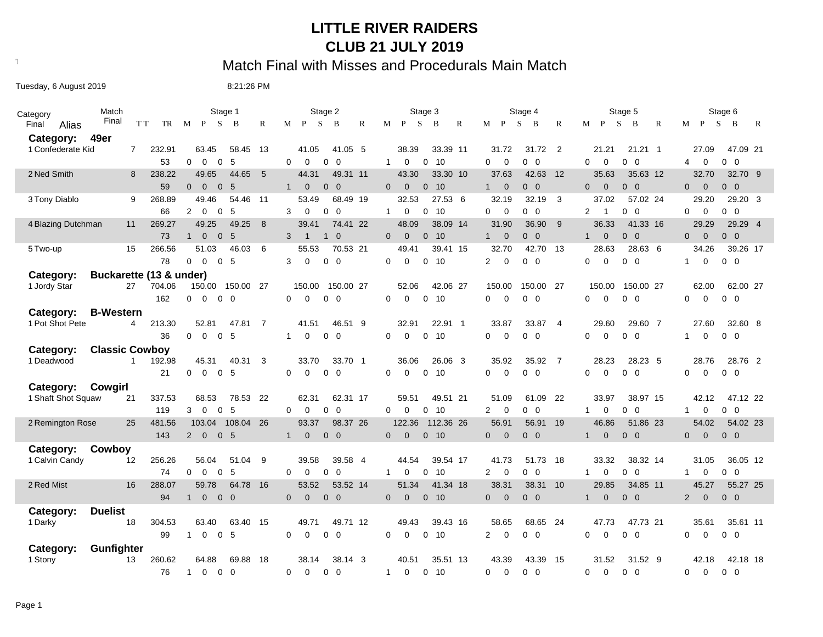## **LITTLE RIVER RAIDERS CLUB 21 JULY 2019**

## Text497: Match Final with Misses and Procedurals Main Match

Tuesday, 6 August 2019 **8:21:26 PM** 

| Category                             | Match                 |        | Stage 1                                                | Stage 2                                                  | Stage 3                                       | Stage 4                                      | Stage 5                                                  | Stage 6                                           |  |  |  |  |
|--------------------------------------|-----------------------|--------|--------------------------------------------------------|----------------------------------------------------------|-----------------------------------------------|----------------------------------------------|----------------------------------------------------------|---------------------------------------------------|--|--|--|--|
| Final<br>Alias                       | Final<br>T T          | TR     | M P S<br>$\mathbf{B}$<br>R                             | $\mathbf{P}$<br>S<br>$\mathbb{R}$<br>M<br>$\overline{B}$ | M P<br><sub>S</sub><br>B<br>R                 | $M$ $P$<br>S.<br>$\mathbf B$<br>R            | $M$ $P$<br>S<br>B<br>R                                   | S.<br>M P<br>B<br>R                               |  |  |  |  |
| Category:                            | 49er                  |        |                                                        |                                                          |                                               |                                              |                                                          |                                                   |  |  |  |  |
| 1 Confederate Kid                    | $\overline{7}$        | 232.91 | 63.45<br>58.45<br>-13                                  | 41.05<br>41.05 5                                         | 38.39<br>33.39 11                             | 31.72<br>$\overline{\phantom{0}}^2$<br>31.72 | 21.21<br>21.21 1                                         | 47.09 21<br>27.09                                 |  |  |  |  |
|                                      |                       | 53     | $\overline{0}$<br>$\Omega$<br>$\mathbf 0$<br>-5        | $\Omega$<br>$\Omega$<br>$0\quad 0$                       | $\Omega$<br>0 <sub>10</sub><br>$\overline{1}$ | $\Omega$<br>$\mathbf 0$<br>$0\quad 0$        | $\Omega$<br>$\mathbf 0$<br>$0\quad 0$                    | $0\quad 0$<br>4<br>$\mathbf 0$                    |  |  |  |  |
| 2 Ned Smith                          | 8                     | 238.22 | 49.65<br>44.65<br>5                                    | 44.31<br>49.31 11                                        | 43.30<br>33.30 10                             | 37.63<br>42.63<br>12                         | 35.63<br>35.63 12                                        | 32.70<br>32.70 9                                  |  |  |  |  |
|                                      |                       | 59     | $\overline{0}$<br>0 <sub>5</sub><br>$\Omega$           | 1<br>$\mathbf{0}$<br>$0\quad 0$                          | $\Omega$<br>$\overline{0}$<br>0 <sub>10</sub> | $\overline{0}$<br>$0\quad 0$<br>1            | $\overline{0}$<br>$0\quad 0$<br>$\mathbf{0}$             | $\overline{0}$<br>$0\quad 0$<br>$\overline{0}$    |  |  |  |  |
| 3 Tony Diablo                        | 9                     | 268.89 | 49.46<br>54.46 11                                      | 68.49 19<br>53.49                                        | 32.53<br>27.53 6                              | 32.19<br>$\overline{\mathbf{3}}$<br>32.19    | 37.02<br>57.02 24                                        | 29.20<br>29.20 3                                  |  |  |  |  |
|                                      |                       | 66     | 2<br>$\mathbf 0$<br>$\mathbf 0$<br>5                   | $\mathbf 0$<br>$\overline{0}$<br>3<br>$\mathbf 0$        | $\mathbf{1}$<br>0<br>0<br>10                  | $\mathbf 0$<br>$0\quad 0$<br>$\mathbf 0$     | $\overline{0}$<br>2<br>0<br>$\mathbf{1}$                 | $\mathbf 0$<br>$\overline{0}$<br>0<br>$\mathbf 0$ |  |  |  |  |
| 4 Blazing Dutchman                   | 11                    | 269.27 | 49.25<br>49.25<br>8                                    | 39.41<br>74.41 22                                        | 48.09<br>38.09 14                             | 31.90<br>36.90<br>- 9                        | 36.33<br>41.33 16                                        | 29.29<br>29.29 4                                  |  |  |  |  |
|                                      |                       | 73     | $\mathbf{1}$<br>$\overline{0}$<br>$\overline{0}$<br>-5 | 3<br>$\overline{1}$<br>$1\quad 0$                        | $\Omega$<br>$\Omega$<br>0 <sub>10</sub>       | $\overline{0}$<br>$0\quad 0$<br>◀            | $\mathbf{0}$<br>$0\quad 0$<br>1                          | $\overline{0}$<br>$0\quad 0$<br>$\mathbf{0}$      |  |  |  |  |
| 5 Two-up                             | 15                    | 266.56 | 46.03<br>6<br>51.03                                    | 55.53<br>70.53 21                                        | 49.41<br>39.41 15                             | 32.70<br>42.70 13                            | 28.63<br>28.63 6                                         | 34.26<br>39.26 17                                 |  |  |  |  |
|                                      |                       | 78     | 0 <sub>5</sub><br>0<br>$\mathbf 0$                     | 3<br>0<br>$0\quad 0$                                     | $\Omega$<br>$\Omega$<br>0<br>-10              | 2<br>$\mathbf 0$<br>$0\quad 0$               | $\mathbf 0$<br>$0\quad 0$<br>0                           | $0\quad 0$<br>$\mathbf{1}$<br>0                   |  |  |  |  |
| Buckarette (13 & under)<br>Category: |                       |        |                                                        |                                                          |                                               |                                              |                                                          |                                                   |  |  |  |  |
| 1 Jordy Star                         | 27                    | 704.06 | 150.00  150.00  27                                     | 150.00 27<br>150.00                                      | 52.06<br>42.06 27                             | 150.00<br>- 27<br>150.00                     | 150.00<br>150.00 27                                      | 62.00 27<br>62.00                                 |  |  |  |  |
|                                      |                       | 162    | 0<br>$\mathbf 0$<br>$0\quad 0$                         | $\mathbf 0$<br>$0\quad 0$<br>$\Omega$                    | $\Omega$<br>$\Omega$<br>0<br>- 10             | $0\quad 0$<br>$\mathbf 0$<br>0               | $\mathbf 0$<br>$0\quad 0$<br>0                           | $\mathbf 0$<br>$0\quad 0$<br>0                    |  |  |  |  |
| Category:                            | <b>B-Western</b>      |        |                                                        |                                                          |                                               |                                              |                                                          |                                                   |  |  |  |  |
| 1 Pot Shot Pete                      | 4                     | 213.30 | 52.81<br>47.81<br>$\overline{7}$                       | 46.51 9<br>41.51                                         | 32.91<br>22.91 1                              | 33.87<br>33.87<br>$\overline{4}$             | 29.60<br>29.60 7                                         | 32.60 8<br>27.60                                  |  |  |  |  |
|                                      |                       | 36     | 0 <sub>5</sub><br>0<br>$\mathbf 0$                     | 0<br>$0\quad 0$<br>$\mathbf 1$                           | $\Omega$<br>$\Omega$<br>0 <sub>10</sub>       | 0<br>$\Omega$<br>$0\quad 0$                  | $\mathbf 0$<br>$0\quad 0$<br>0                           | $\mathbf 0$<br>$0\quad 0$<br>$\mathbf{1}$         |  |  |  |  |
| Category:                            | <b>Classic Cowboy</b> |        |                                                        |                                                          |                                               |                                              |                                                          |                                                   |  |  |  |  |
| 1 Deadwood                           | $\mathbf{1}$          | 192.98 | 45.31<br>40.31<br>3                                    | 33.70<br>33.70 1                                         | 36.06<br>26.06 3                              | 35.92<br>35.92<br>$\overline{7}$             | 28.23<br>28.23 5                                         | 28.76<br>28.76 2                                  |  |  |  |  |
|                                      |                       | 21     | $\mathbf 0$<br>0 <sub>5</sub><br>0                     | $0\quad 0$<br>$\Omega$<br>$\Omega$                       | $\Omega$<br>$\Omega$<br>0 <sub>10</sub>       | 0<br>$\Omega$<br>$0\quad 0$                  | $\mathbf 0$<br>$\mathbf 0$<br>$\overline{0}$<br>0        | $0\quad 0$<br>0<br>0                              |  |  |  |  |
| Category:                            | Cowgirl               |        |                                                        |                                                          |                                               |                                              |                                                          |                                                   |  |  |  |  |
| 1 Shaft Shot Squaw                   | 21                    | 337.53 | 68.53<br>78.53 22                                      | 62.31<br>62.31 17                                        | 59.51<br>49.51 21                             | 51.09<br>61.09<br>22                         | 33.97<br>38.97 15                                        | 42.12<br>47.12 22                                 |  |  |  |  |
|                                      |                       | 119    | $\overline{0}$<br>$\overline{0}$<br>5<br>3             | $\Omega$<br>0<br>$0\quad 0$                              | 0 <sub>10</sub><br>$\Omega$<br>$\mathbf 0$    | $\mathbf 0$<br>$0\quad 0$<br>$\overline{2}$  | $\mathbf 0$<br>$0\quad 0$<br>1                           | $0\quad 0$<br>$\mathbf 0$<br>1                    |  |  |  |  |
| 2 Remington Rose                     | 25                    | 481.56 | 108.04 26<br>103.04                                    | 93.37<br>98.37 26                                        | 122.36<br>112.36 26                           | 56.91<br>56.91<br>19                         | 46.86<br>51.86 23                                        | 54.02<br>54.02 23                                 |  |  |  |  |
|                                      |                       | 143    | $\overline{0}$<br>0 <sub>5</sub><br>$\mathbf{2}$       | $\mathbf 0$<br>$0\quad 0$<br>1                           | $\mathbf 0$<br>$0$ 10<br>$\mathbf{0}$         | $\mathbf{0}$<br>$0\quad 0$<br>$\mathbf{0}$   | $\mathbf{0}$<br>$0\quad 0$<br>1                          | $0\quad 0$<br>$\mathbf{0}$<br>$\mathbf{0}$        |  |  |  |  |
| Category:                            | Cowboy                |        |                                                        |                                                          |                                               |                                              |                                                          |                                                   |  |  |  |  |
| 1 Calvin Candy                       | $12 \overline{ }$     | 256.26 | 56.04<br>51.04<br>9                                    | 39.58<br>39.58 4                                         | 44.54<br>39.54 17                             | 41.73<br>51.73<br>- 18                       | 33.32<br>38.32 14                                        | 31.05<br>36.05 12                                 |  |  |  |  |
|                                      |                       | 74     | $\overline{0}$<br>-5<br>0<br>0                         | 0<br>$\overline{0}$<br>$\Omega$<br>0                     | 10<br>$\mathbf{1}$<br>0<br>0                  | $\overline{2}$<br>$\mathbf 0$<br>$0\quad 0$  | $\mathbf 0$<br>$\overline{0}$<br>$\mathbf{1}$<br>0       | $0\quad 0$<br>$\mathbf{1}$<br>0                   |  |  |  |  |
| 2 Red Mist                           | 16                    | 288.07 | 59.78<br>64.78 16                                      | 53.52<br>53.52 14                                        | 51.34<br>41.34 18                             | 38.31<br>38.31<br>10                         | 29.85<br>34.85 11                                        | 45.27<br>55.27 25                                 |  |  |  |  |
|                                      |                       | 94     | $\overline{0}$<br>$0\quad 0$<br>1                      | $0\quad 0$<br>$\overline{0}$<br>$\Omega$                 | $\overline{0}$<br>$\Omega$<br>0 <sub>10</sub> | $\mathbf{0}$<br>$\mathbf{0}$<br>$0\quad 0$   | $\mathbf{0}$<br>$0\quad 0$<br>$\mathbf{1}$               | $0\quad 0$<br>$\overline{2}$<br>$\overline{0}$    |  |  |  |  |
| Category:                            | <b>Duelist</b>        |        |                                                        |                                                          |                                               |                                              |                                                          |                                                   |  |  |  |  |
| 1 Darky                              | 18                    | 304.53 | 63.40<br>63.40<br>15                                   | 49.71<br>49.71 12                                        | 49.43<br>39.43 16                             | 58.65<br>68.65<br>-24                        | 47.73<br>47.73 21                                        | 35.61<br>35.61 11                                 |  |  |  |  |
|                                      |                       | 99     | $\mathbf 0$<br>0 <sub>5</sub><br>$\mathbf{1}$          | $\mathbf 0$<br>$0\quad 0$<br>$\Omega$                    | $\mathbf 0$<br>0<br>10<br>$\Omega$            | $\overline{2}$<br>$\mathbf 0$<br>$0\quad 0$  | $\Omega$<br>$\Omega$<br>$\overline{0}$<br>$\overline{0}$ | $\Omega$<br>$0\quad 0$<br>0                       |  |  |  |  |
| Category:                            | Gunfighter            |        |                                                        |                                                          |                                               |                                              |                                                          |                                                   |  |  |  |  |
| 1 Stony                              | 13                    | 260.62 | 64.88<br>69.88<br>18                                   | 38.14<br>38.14 3                                         | 35.51 13<br>40.51                             | 43.39<br>43.39<br>- 15                       | 31.52<br>31.52 9                                         | 42.18<br>42.18 18                                 |  |  |  |  |
|                                      |                       | 76     | $\overline{1}$<br>$\Omega$<br>$0\quad 0$               | $\Omega$<br>$\Omega$<br>$0\quad 0$                       | $\Omega$<br>0 <sub>10</sub><br>$\overline{1}$ | $\Omega$<br>$\Omega$<br>$0\quad 0$           | $\Omega$<br>$\Omega$<br>$0\quad 0$                       | $\overline{0}$<br>$\Omega$<br>$0\quad 0$          |  |  |  |  |